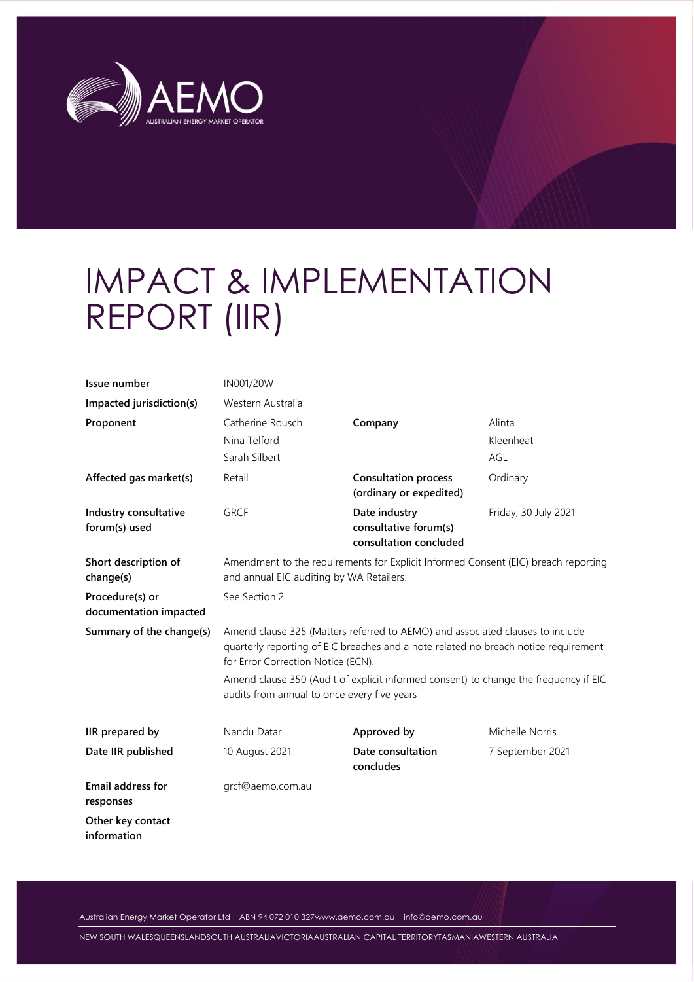

# IMPACT & IMPLEMENTATION REPORT (IIR)

| Issue number                              | IN001/20W                                                                                                                                                                                                  |                                                        |                            |  |  |
|-------------------------------------------|------------------------------------------------------------------------------------------------------------------------------------------------------------------------------------------------------------|--------------------------------------------------------|----------------------------|--|--|
| Impacted jurisdiction(s)                  | Western Australia                                                                                                                                                                                          |                                                        |                            |  |  |
| Proponent                                 | Catherine Rousch<br>Nina Telford<br>Sarah Silbert                                                                                                                                                          | Company                                                | Alinta<br>Kleenheat<br>AGL |  |  |
| Affected gas market(s)                    | Retail                                                                                                                                                                                                     | <b>Consultation process</b><br>(ordinary or expedited) | Ordinary                   |  |  |
| Industry consultative<br>forum(s) used    | <b>GRCF</b><br>Date industry<br>consultative forum(s)<br>consultation concluded                                                                                                                            |                                                        | Friday, 30 July 2021       |  |  |
| Short description of<br>change(s)         | Amendment to the requirements for Explicit Informed Consent (EIC) breach reporting<br>and annual EIC auditing by WA Retailers.                                                                             |                                                        |                            |  |  |
| Procedure(s) or<br>documentation impacted | See Section 2                                                                                                                                                                                              |                                                        |                            |  |  |
| Summary of the change(s)                  | Amend clause 325 (Matters referred to AEMO) and associated clauses to include<br>quarterly reporting of EIC breaches and a note related no breach notice requirement<br>for Error Correction Notice (ECN). |                                                        |                            |  |  |
|                                           | Amend clause 350 (Audit of explicit informed consent) to change the frequency if EIC<br>audits from annual to once every five years                                                                        |                                                        |                            |  |  |
| IIR prepared by                           | Nandu Datar                                                                                                                                                                                                | Approved by                                            | Michelle Norris            |  |  |
| Date IIR published                        | 10 August 2021                                                                                                                                                                                             | Date consultation<br>concludes                         | 7 September 2021           |  |  |
| Email address for<br>responses            | grcf@aemo.com.au                                                                                                                                                                                           |                                                        |                            |  |  |
| Other key contact<br>information          |                                                                                                                                                                                                            |                                                        |                            |  |  |

Australian Energy Market Operator Ltd ABN 94 072 010 32[7www.aemo.com.au](http://www.aemo.com.au/) [info@aemo.com.au](mailto:info@aemo.com.au)

NEW SOUTH WALESQUEENSLANDSOUTH AUSTRALIAVICTORIAAUSTRALIAN CAPITAL TERRITORYTASMANIAWESTERN AUSTRALIA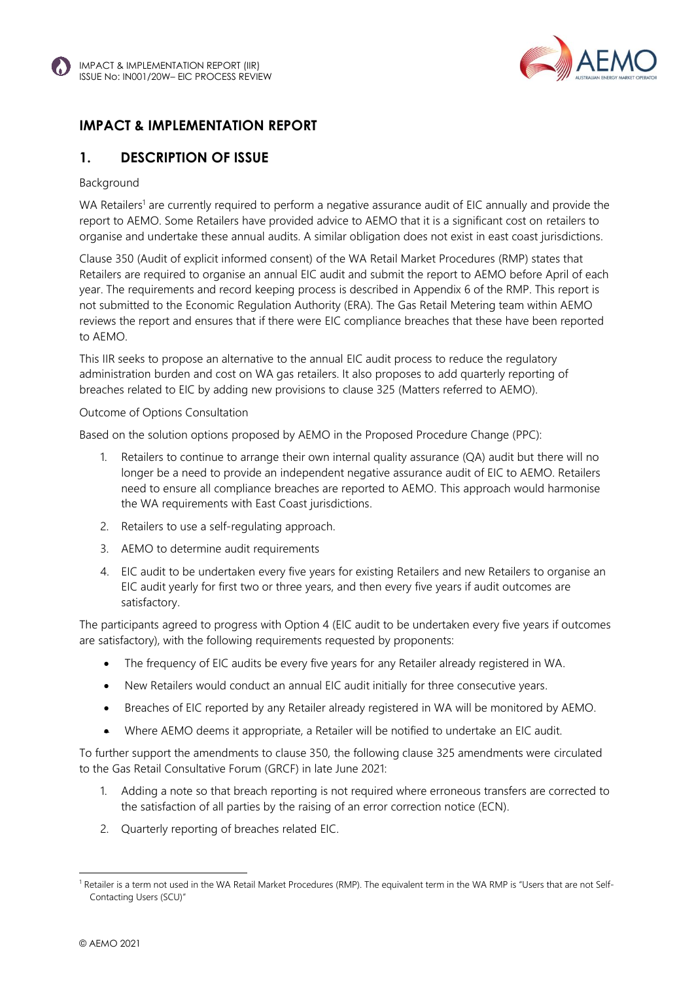

### **IMPACT & IMPLEMENTATION REPORT**

### **1. DESCRIPTION OF ISSUE**

#### Background

WA Retailers<sup>1</sup> are currently required to perform a negative assurance audit of EIC annually and provide the report to AEMO. Some Retailers have provided advice to AEMO that it is a significant cost on retailers to organise and undertake these annual audits. A similar obligation does not exist in east coast jurisdictions.

Clause 350 (Audit of explicit informed consent) of the WA Retail Market Procedures (RMP) states that Retailers are required to organise an annual EIC audit and submit the report to AEMO before April of each year. The requirements and record keeping process is described in Appendix 6 of the RMP. This report is not submitted to the Economic Regulation Authority (ERA). The Gas Retail Metering team within AEMO reviews the report and ensures that if there were EIC compliance breaches that these have been reported to AEMO.

This IIR seeks to propose an alternative to the annual EIC audit process to reduce the regulatory administration burden and cost on WA gas retailers. It also proposes to add quarterly reporting of breaches related to EIC by adding new provisions to clause 325 (Matters referred to AEMO).

#### Outcome of Options Consultation

Based on the solution options proposed by AEMO in the Proposed Procedure Change (PPC):

- 1. Retailers to continue to arrange their own internal quality assurance (QA) audit but there will no longer be a need to provide an independent negative assurance audit of EIC to AEMO. Retailers need to ensure all compliance breaches are reported to AEMO. This approach would harmonise the WA requirements with East Coast jurisdictions.
- 2. Retailers to use a self-regulating approach.
- 3. AEMO to determine audit requirements
- 4. EIC audit to be undertaken every five years for existing Retailers and new Retailers to organise an EIC audit yearly for first two or three years, and then every five years if audit outcomes are satisfactory.

The participants agreed to progress with Option 4 (EIC audit to be undertaken every five years if outcomes are satisfactory), with the following requirements requested by proponents:

- The frequency of EIC audits be every five years for any Retailer already registered in WA.
- New Retailers would conduct an annual EIC audit initially for three consecutive years.
- Breaches of EIC reported by any Retailer already registered in WA will be monitored by AEMO.
- Where AEMO deems it appropriate, a Retailer will be notified to undertake an EIC audit.

To further support the amendments to clause 350, the following clause 325 amendments were circulated to the Gas Retail Consultative Forum (GRCF) in late June 2021:

- 1. Adding a note so that breach reporting is not required where erroneous transfers are corrected to the satisfaction of all parties by the raising of an error correction notice (ECN).
- 2. Quarterly reporting of breaches related EIC.

<sup>&</sup>lt;sup>1</sup> Retailer is a term not used in the WA Retail Market Procedures (RMP). The equivalent term in the WA RMP is "Users that are not Self-Contacting Users (SCU)"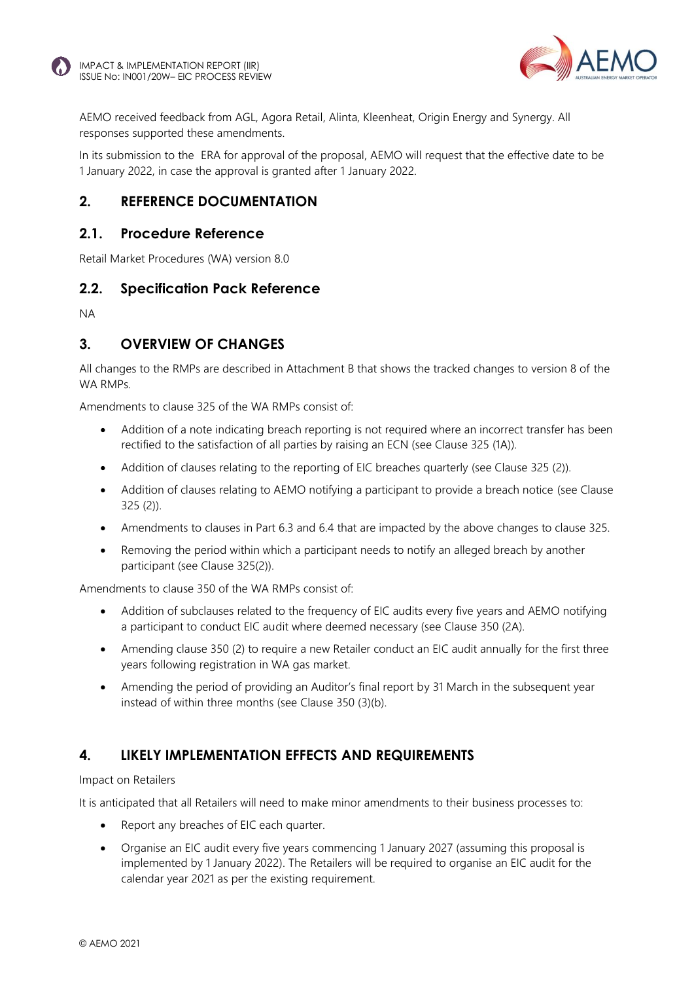

AEMO received feedback from AGL, Agora Retail, Alinta, Kleenheat, Origin Energy and Synergy. All responses supported these amendments.

In its submission to the ERA for approval of the proposal, AEMO will request that the effective date to be 1 January 2022, in case the approval is granted after 1 January 2022.

### **2. REFERENCE DOCUMENTATION**

### **2.1. Procedure Reference**

Retail Market Procedures (WA) version 8.0

### **2.2. Specification Pack Reference**

NA

### **3. OVERVIEW OF CHANGES**

All changes to the RMPs are described in Attachment B that shows the tracked changes to version 8 of the WA RMPs.

Amendments to clause 325 of the WA RMPs consist of:

- Addition of a note indicating breach reporting is not required where an incorrect transfer has been rectified to the satisfaction of all parties by raising an ECN (see Clause 325 (1A)).
- Addition of clauses relating to the reporting of EIC breaches quarterly (see Clause 325 (2)).
- Addition of clauses relating to AEMO notifying a participant to provide a breach notice (see Clause 325 (2)).
- Amendments to clauses in Part 6.3 and 6.4 that are impacted by the above changes to clause 325.
- Removing the period within which a participant needs to notify an alleged breach by another participant (see Clause 325(2)).

Amendments to clause 350 of the WA RMPs consist of:

- Addition of subclauses related to the frequency of EIC audits every five years and AEMO notifying a participant to conduct EIC audit where deemed necessary (see Clause 350 (2A).
- Amending clause 350 (2) to require a new Retailer conduct an EIC audit annually for the first three years following registration in WA gas market.
- Amending the period of providing an Auditor's final report by 31 March in the subsequent year instead of within three months (see Clause 350 (3)(b).

### **4. LIKELY IMPLEMENTATION EFFECTS AND REQUIREMENTS**

#### Impact on Retailers

It is anticipated that all Retailers will need to make minor amendments to their business processes to:

- Report any breaches of EIC each quarter.
- Organise an EIC audit every five years commencing 1 January 2027 (assuming this proposal is implemented by 1 January 2022). The Retailers will be required to organise an EIC audit for the calendar year 2021 as per the existing requirement.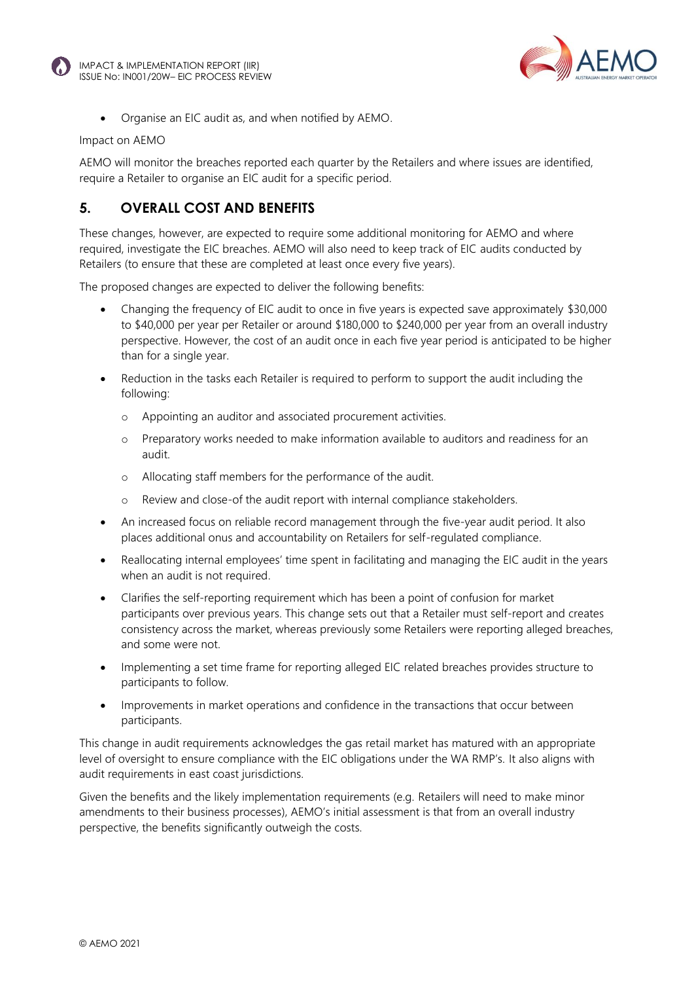



• Organise an EIC audit as, and when notified by AEMO.

#### Impact on AEMO

AEMO will monitor the breaches reported each quarter by the Retailers and where issues are identified, require a Retailer to organise an EIC audit for a specific period.

### **5. OVERALL COST AND BENEFITS**

These changes, however, are expected to require some additional monitoring for AEMO and where required, investigate the EIC breaches. AEMO will also need to keep track of EIC audits conducted by Retailers (to ensure that these are completed at least once every five years).

The proposed changes are expected to deliver the following benefits:

- Changing the frequency of EIC audit to once in five years is expected save approximately \$30,000 to \$40,000 per year per Retailer or around \$180,000 to \$240,000 per year from an overall industry perspective. However, the cost of an audit once in each five year period is anticipated to be higher than for a single year.
- Reduction in the tasks each Retailer is required to perform to support the audit including the following:
	- o Appointing an auditor and associated procurement activities.
	- o Preparatory works needed to make information available to auditors and readiness for an audit.
	- o Allocating staff members for the performance of the audit.
	- o Review and close-of the audit report with internal compliance stakeholders.
- An increased focus on reliable record management through the five-year audit period. It also places additional onus and accountability on Retailers for self-regulated compliance.
- Reallocating internal employees' time spent in facilitating and managing the EIC audit in the years when an audit is not required.
- Clarifies the self-reporting requirement which has been a point of confusion for market participants over previous years. This change sets out that a Retailer must self-report and creates consistency across the market, whereas previously some Retailers were reporting alleged breaches, and some were not.
- Implementing a set time frame for reporting alleged EIC related breaches provides structure to participants to follow.
- Improvements in market operations and confidence in the transactions that occur between participants.

This change in audit requirements acknowledges the gas retail market has matured with an appropriate level of oversight to ensure compliance with the EIC obligations under the WA RMP's. It also aligns with audit requirements in east coast jurisdictions.

Given the benefits and the likely implementation requirements (e.g. Retailers will need to make minor amendments to their business processes), AEMO's initial assessment is that from an overall industry perspective, the benefits significantly outweigh the costs.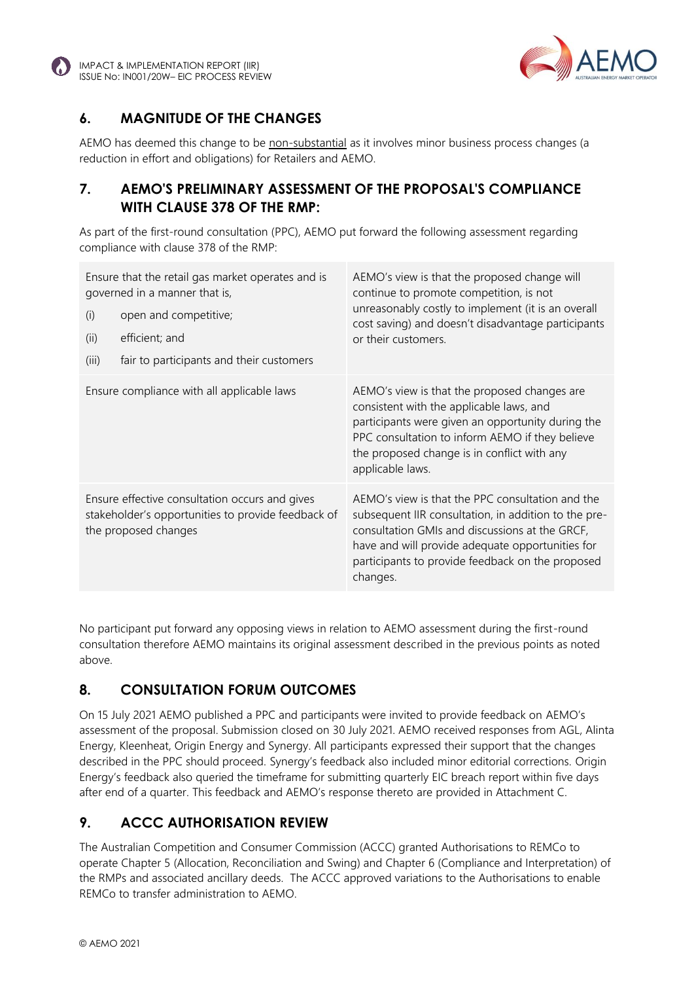



### **6. MAGNITUDE OF THE CHANGES**

AEMO has deemed this change to be non-substantial as it involves minor business process changes (a reduction in effort and obligations) for Retailers and AEMO.

### **7. AEMO'S PRELIMINARY ASSESSMENT OF THE PROPOSAL'S COMPLIANCE WITH CLAUSE 378 OF THE RMP:**

As part of the first-round consultation (PPC), AEMO put forward the following assessment regarding compliance with clause 378 of the RMP:

| (i)<br>(ii)<br>(iii)                                                                                                         | Ensure that the retail gas market operates and is<br>governed in a manner that is,<br>open and competitive;<br>efficient; and<br>fair to participants and their customers | AEMO's view is that the proposed change will<br>continue to promote competition, is not<br>unreasonably costly to implement (it is an overall<br>cost saving) and doesn't disadvantage participants<br>or their customers.                                                     |
|------------------------------------------------------------------------------------------------------------------------------|---------------------------------------------------------------------------------------------------------------------------------------------------------------------------|--------------------------------------------------------------------------------------------------------------------------------------------------------------------------------------------------------------------------------------------------------------------------------|
|                                                                                                                              | Ensure compliance with all applicable laws                                                                                                                                | AEMO's view is that the proposed changes are<br>consistent with the applicable laws, and<br>participants were given an opportunity during the<br>PPC consultation to inform AEMO if they believe<br>the proposed change is in conflict with any<br>applicable laws.            |
| Ensure effective consultation occurs and gives<br>stakeholder's opportunities to provide feedback of<br>the proposed changes |                                                                                                                                                                           | AEMO's view is that the PPC consultation and the<br>subsequent IIR consultation, in addition to the pre-<br>consultation GMIs and discussions at the GRCF,<br>have and will provide adequate opportunities for<br>participants to provide feedback on the proposed<br>changes. |

No participant put forward any opposing views in relation to AEMO assessment during the first-round consultation therefore AEMO maintains its original assessment described in the previous points as noted above.

### **8. CONSULTATION FORUM OUTCOMES**

On 15 July 2021 AEMO published a PPC and participants were invited to provide feedback on AEMO's assessment of the proposal. Submission closed on 30 July 2021. AEMO received responses from AGL, Alinta Energy, Kleenheat, Origin Energy and Synergy. All participants expressed their support that the changes described in the PPC should proceed. Synergy's feedback also included minor editorial corrections. Origin Energy's feedback also queried the timeframe for submitting quarterly EIC breach report within five days after end of a quarter. This feedback and AEMO's response thereto are provided in Attachment C.

# **9. ACCC AUTHORISATION REVIEW**

The Australian Competition and Consumer Commission (ACCC) granted Authorisations to REMCo to operate Chapter 5 (Allocation, Reconciliation and Swing) and Chapter 6 (Compliance and Interpretation) of the RMPs and associated ancillary deeds. The ACCC approved variations to the Authorisations to enable REMCo to transfer administration to AEMO.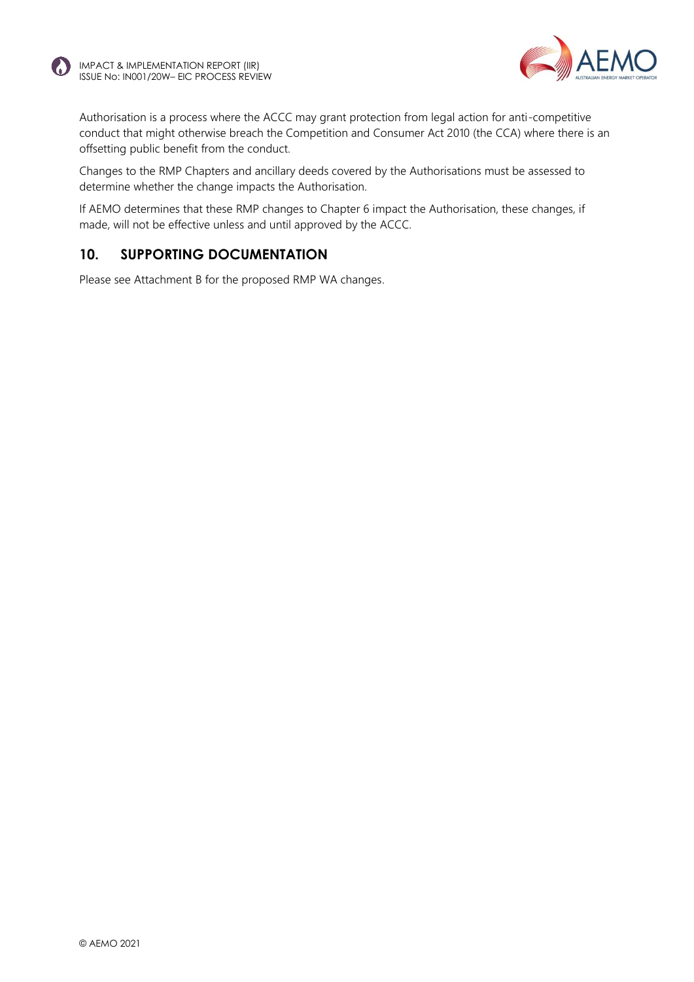



Authorisation is a process where the ACCC may grant protection from legal action for anti-competitive conduct that might otherwise breach the Competition and Consumer Act 2010 (the CCA) where there is an offsetting public benefit from the conduct.

Changes to the RMP Chapters and ancillary deeds covered by the Authorisations must be assessed to determine whether the change impacts the Authorisation.

If AEMO determines that these RMP changes to Chapter 6 impact the Authorisation, these changes, if made, will not be effective unless and until approved by the ACCC.

### **10. SUPPORTING DOCUMENTATION**

Please see Attachment B for the proposed RMP WA changes.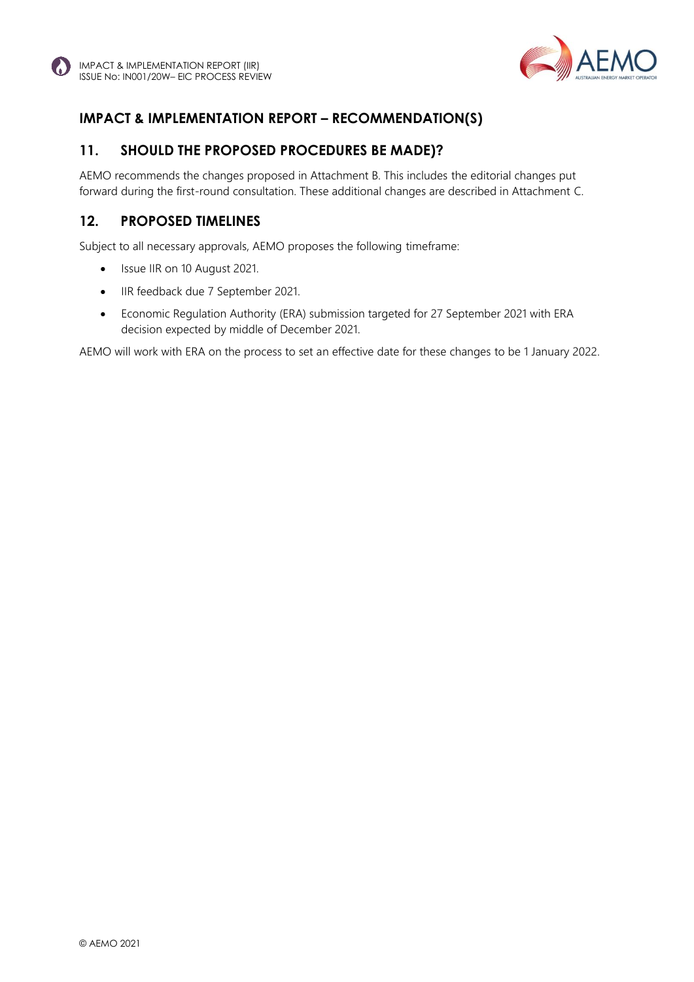

### **IMPACT & IMPLEMENTATION REPORT – RECOMMENDATION(S)**

### **11. SHOULD THE PROPOSED PROCEDURES BE MADE)?**

AEMO recommends the changes proposed in Attachment B. This includes the editorial changes put forward during the first-round consultation. These additional changes are described in Attachment C.

### **12. PROPOSED TIMELINES**

Subject to all necessary approvals, AEMO proposes the following timeframe:

- Issue IIR on 10 August 2021.
- IIR feedback due 7 September 2021.
- Economic Regulation Authority (ERA) submission targeted for 27 September 2021 with ERA decision expected by middle of December 2021.

AEMO will work with ERA on the process to set an effective date for these changes to be 1 January 2022.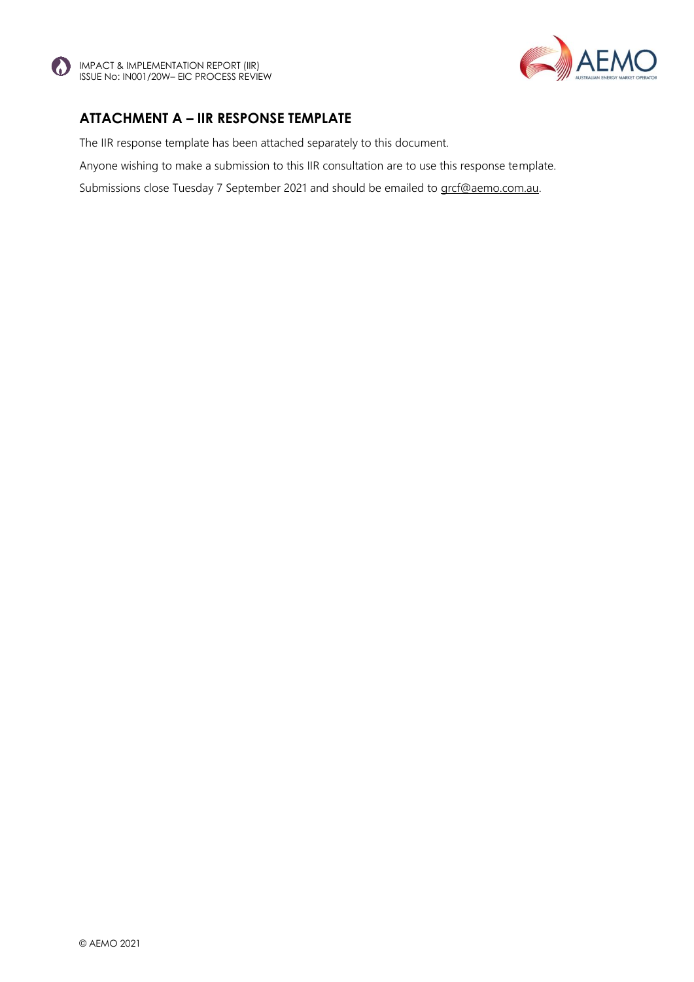



### **ATTACHMENT A – IIR RESPONSE TEMPLATE**

The IIR response template has been attached separately to this document.

Anyone wishing to make a submission to this IIR consultation are to use this response template.

Submissions close Tuesday 7 September 2021 and should be emailed to [grcf@aemo.com.au.](mailto:grcf@aemo.com.au)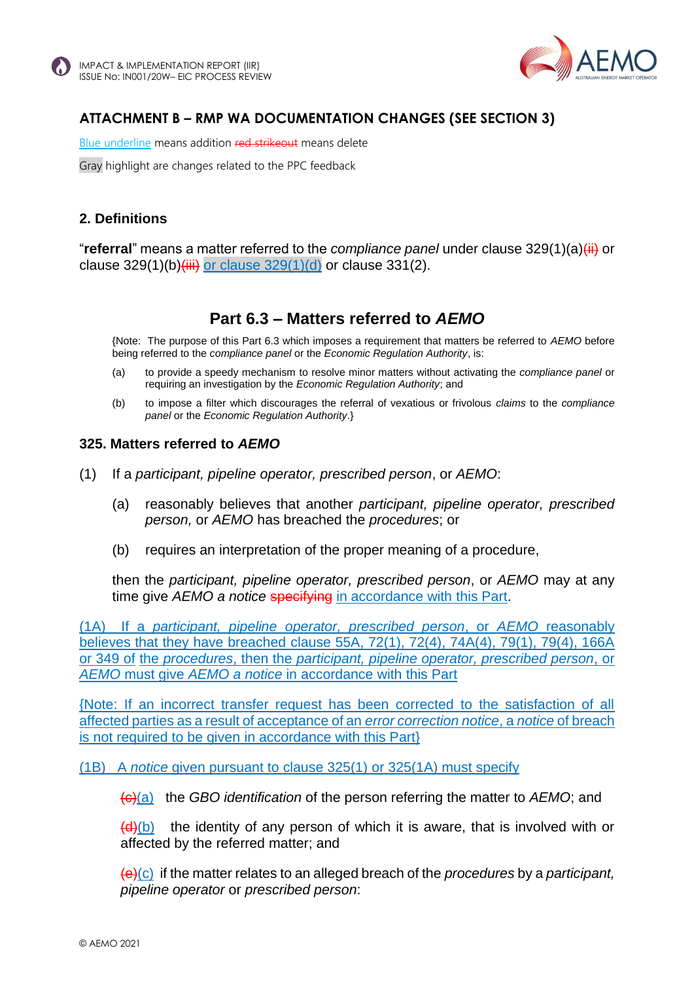

### **ATTACHMENT B – RMP WA DOCUMENTATION CHANGES (SEE SECTION 3)**

Blue underline means addition red strikeout means delete

Gray highlight are changes related to the PPC feedback

### **2. Definitions**

"**referral**" means a matter referred to the *compliance panel* under clause 329(1)(a)(ii) or clause  $329(1)(b)$ (iii) or clause  $329(1)(d)$  or clause  $331(2)$ .

# **Part 6.3 – Matters referred to** *AEMO*

{Note: The purpose of this Part 6.3 which imposes a requirement that matters be referred to *AEMO* before being referred to the *compliance panel* or the *Economic Regulation Authority*, is:

- (a) to provide a speedy mechanism to resolve minor matters without activating the *compliance panel* or requiring an investigation by the *Economic Regulation Authority*; and
- (b) to impose a filter which discourages the referral of vexatious or frivolous *claims* to the *compliance panel* or the *Economic Regulation Authority*.}

### <span id="page-8-0"></span>**325. Matters referred to** *AEMO*

- (1) If a *participant, pipeline operator, prescribed person*, or *AEMO*:
	- (a) reasonably believes that another *participant, pipeline operator, prescribed person,* or *AEMO* has breached the *procedures*; or
	- (b) requires an interpretation of the proper meaning of a procedure,

then the *participant, pipeline operator, prescribed person*, or *AEMO* may at any time give *AEMO a notice* specifying in accordance with this Part.

(1A) If a *participant, pipeline operator, prescribed person*, or *AEMO* reasonably believes that they have breached clause 55A, 72(1), 72(4), 74A(4), 79(1), 79(4), 166A or 349 of the *procedures*, then the *participant, pipeline operator, prescribed person*, or *AEMO* must give *AEMO a notice* in accordance with this Part

{Note: If an incorrect transfer request has been corrected to the satisfaction of all affected parties as a result of acceptance of an *error correction notice*, a *notice* of breach is not required to be given in accordance with this Part}

(1B) A *notice* given pursuant to clause 325(1) or 325(1A) must specify

(c)(a) the *GBO identification* of the person referring the matter to *AEMO*; and

 $(d)(b)$  the identity of any person of which it is aware, that is involved with or affected by the referred matter; and

(e)(c) if the matter relates to an alleged breach of the *procedures* by a *participant, pipeline operator* or *prescribed person*: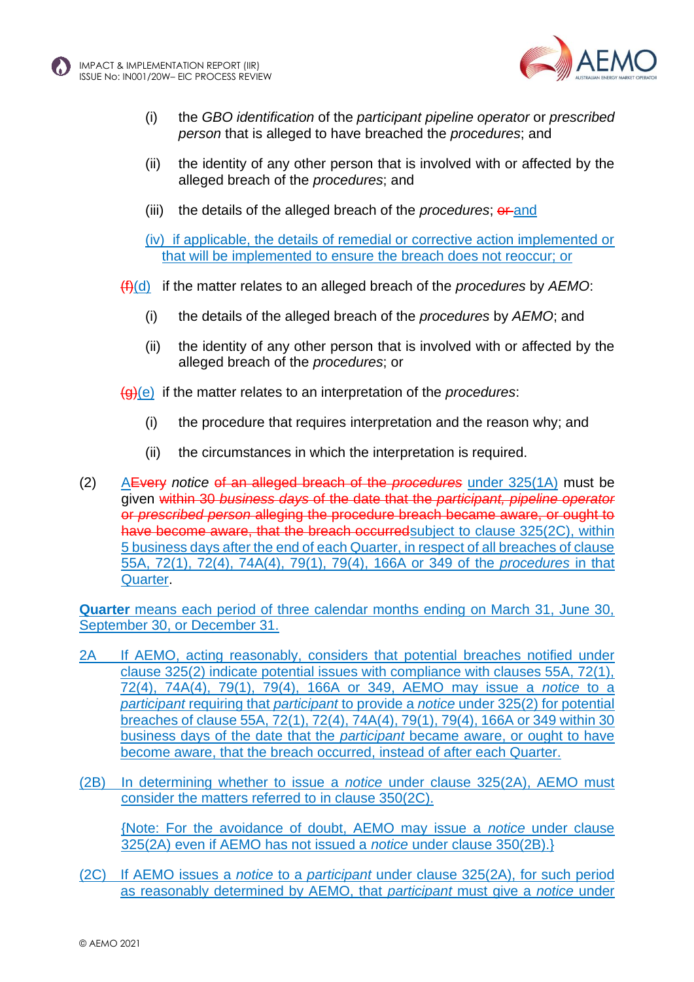



- (i) the *GBO identification* of the *participant pipeline operator* or *prescribed person* that is alleged to have breached the *procedures*; and
- (ii) the identity of any other person that is involved with or affected by the alleged breach of the *procedures*; and
- (iii) the details of the alleged breach of the *procedures*; or and
- (iv) if applicable, the details of remedial or corrective action implemented or that will be implemented to ensure the breach does not reoccur; or
- (f)(d) if the matter relates to an alleged breach of the *procedures* by *AEMO*:
	- (i) the details of the alleged breach of the *procedures* by *AEMO*; and
	- (ii) the identity of any other person that is involved with or affected by the alleged breach of the *procedures*; or
- (g)(e) if the matter relates to an interpretation of the *procedures*:
	- (i) the procedure that requires interpretation and the reason why; and
	- (ii) the circumstances in which the interpretation is required.
- (2) AEvery *notice* of an alleged breach of the *procedures* under 325(1A) must be given within 30 *business days* of the date that the *participant, pipeline operator*  or *prescribed person* alleging the procedure breach became aware, or ought to have become aware, that the breach occurred subject to clause 325(2C), within 5 business days after the end of each Quarter, in respect of all breaches of clause 55A, 72(1), 72(4), 74A(4), 79(1), 79(4), 166A or 349 of the *procedures* in that Quarter.

**Quarter** means each period of three calendar months ending on March 31, June 30, September 30, or December 31.

- 2A If AEMO, acting reasonably, considers that potential breaches notified under clause 325(2) indicate potential issues with compliance with clauses 55A, 72(1), 72(4), 74A(4), 79(1), 79(4), 166A or 349, AEMO may issue a *notice* to a *participant* requiring that *participant* to provide a *notice* under 325(2) for potential breaches of clause 55A, 72(1), 72(4), 74A(4), 79(1), 79(4), 166A or 349 within 30 business days of the date that the *participant* became aware, or ought to have become aware, that the breach occurred, instead of after each Quarter.
- (2B) In determining whether to issue a *notice* under clause 325(2A), AEMO must consider the matters referred to in clause 350(2C).

{Note: For the avoidance of doubt, AEMO may issue a *notice* under clause 325(2A) even if AEMO has not issued a *notice* under clause 350(2B).}

(2C) If AEMO issues a *notice* to a *participant* under clause 325(2A), for such period as reasonably determined by AEMO, that *participant* must give a *notice* under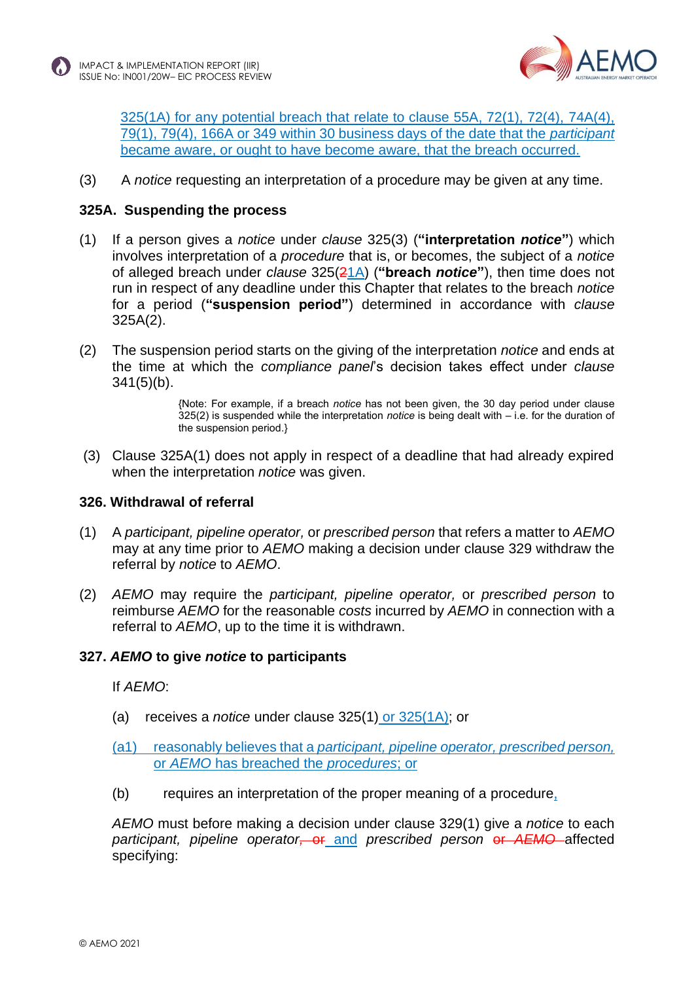

325(1A) for any potential breach that relate to clause 55A, 72(1), 72(4), 74A(4), 79(1), 79(4), 166A or 349 within 30 business days of the date that the *participant*  became aware, or ought to have become aware, that the breach occurred.

(3) A *notice* requesting an interpretation of a procedure may be given at any time.

### **325A. Suspending the process**

- (1) If a person gives a *notice* under *clause* 325(3) (**"interpretation** *notice***"**) which involves interpretation of a *procedure* that is, or becomes, the subject of a *notice* of alleged breach under *clause* 325(21A) (**"breach** *notice***"**), then time does not run in respect of any deadline under this Chapter that relates to the breach *notice* for a period (**"suspension period"**) determined in accordance with *clause* 325A(2).
- (2) The suspension period starts on the giving of the interpretation *notice* and ends at the time at which the *compliance panel*'s decision takes effect under *clause*  $341(5)(b)$ .

{Note: For example, if a breach *notice* has not been given, the 30 day period under clause 325(2) is suspended while the interpretation *notice* is being dealt with – i.e. for the duration of the suspension period.}

(3) Clause 325A(1) does not apply in respect of a deadline that had already expired when the interpretation *notice* was given.

### **326. Withdrawal of referral**

- (1) A *participant, pipeline operator,* or *prescribed person* that refers a matter to *AEMO* may at any time prior to *AEMO* making a decision under clause 329 withdraw the referral by *notice* to *AEMO*.
- (2) *AEMO* may require the *participant, pipeline operator,* or *prescribed person* to reimburse *AEMO* for the reasonable *costs* incurred by *AEMO* in connection with a referral to *AEMO*, up to the time it is withdrawn.

### **327.** *AEMO* **to give** *notice* **to participants**

If *AEMO*:

(a) receives a *notice* under clause 325(1) or 325(1A); or

### (a1) reasonably believes that a *participant, pipeline operator, prescribed person,*  or *AEMO* has breached the *procedures*; or

(b) requires an interpretation of the proper meaning of a procedure,

*AEMO* must before making a decision under clause 329(1) give a *notice* to each *participant, pipeline operator,* or and *prescribed person* or *AEMO* affected specifying: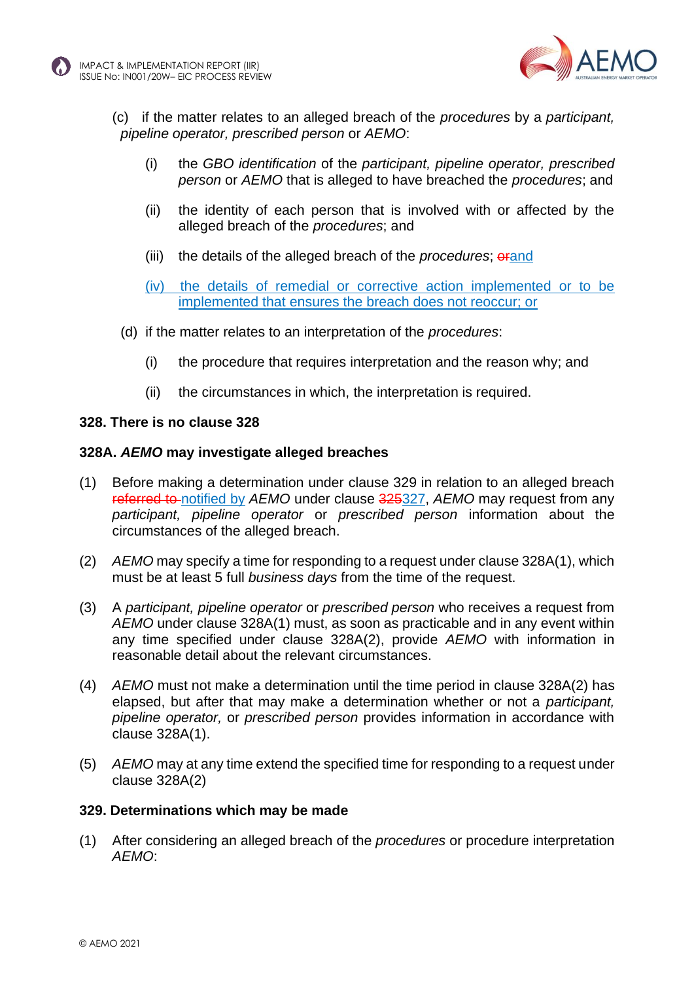



- (c) if the matter relates to an alleged breach of the *procedures* by a *participant, pipeline operator, prescribed person* or *AEMO*:
	- (i) the *GBO identification* of the *participant, pipeline operator, prescribed person* or *AEMO* that is alleged to have breached the *procedures*; and
	- (ii) the identity of each person that is involved with or affected by the alleged breach of the *procedures*; and
	- (iii) the details of the alleged breach of the *procedures*; orand
	- (iv) the details of remedial or corrective action implemented or to be implemented that ensures the breach does not reoccur; or
- (d) if the matter relates to an interpretation of the *procedures*:
	- (i) the procedure that requires interpretation and the reason why; and
	- (ii) the circumstances in which, the interpretation is required.

#### **328. There is no clause 328**

#### **328A.** *AEMO* **may investigate alleged breaches**

- (1) Before making a determination under clause 329 in relation to an alleged breach referred to notified by *AEMO* under clause 325327, *AEMO* may request from any *participant, pipeline operator* or *prescribed person* information about the circumstances of the alleged breach.
- (2) *AEMO* may specify a time for responding to a request under clause 328A(1), which must be at least 5 full *business days* from the time of the request.
- (3) A *participant, pipeline operator* or *prescribed person* who receives a request from *AEMO* under clause 328A(1) must, as soon as practicable and in any event within any time specified under clause 328A(2), provide *AEMO* with information in reasonable detail about the relevant circumstances.
- (4) *AEMO* must not make a determination until the time period in clause 328A(2) has elapsed, but after that may make a determination whether or not a *participant, pipeline operator,* or *prescribed person* provides information in accordance with clause 328A(1).
- (5) *AEMO* may at any time extend the specified time for responding to a request under clause 328A(2)

#### **329. Determinations which may be made**

(1) After considering an alleged breach of the *procedures* or procedure interpretation *AEMO*: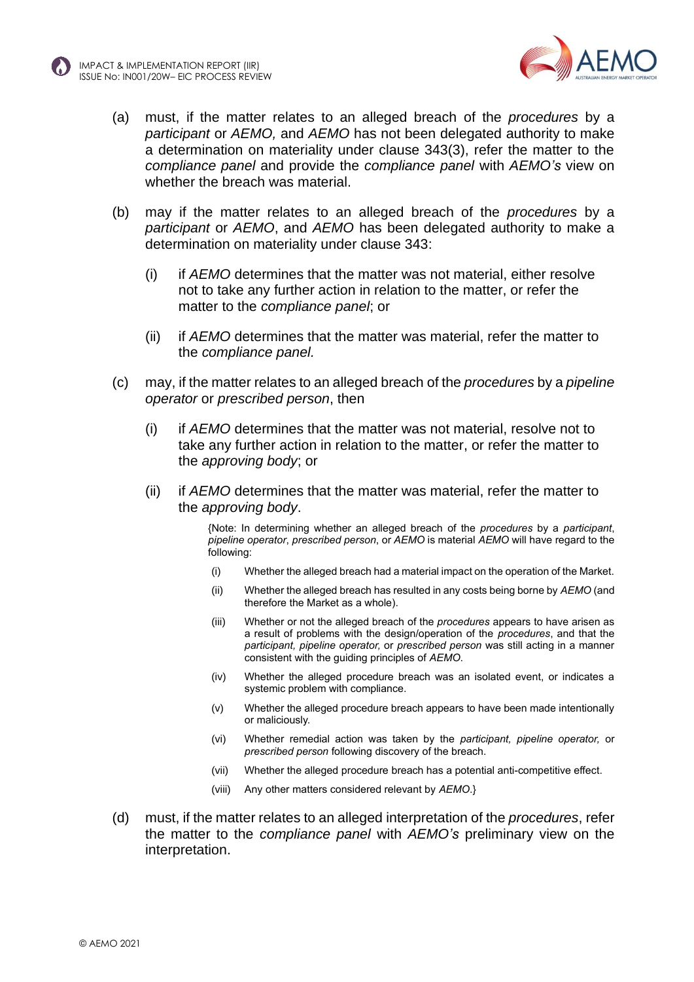



- (a) must, if the matter relates to an alleged breach of the *procedures* by a *participant* or *AEMO,* and *AEMO* has not been delegated authority to make a determination on materiality under clause 343(3), refer the matter to the *compliance panel* and provide the *compliance panel* with *AEMO's* view on whether the breach was material.
- (b) may if the matter relates to an alleged breach of the *procedures* by a *participant* or *AEMO*, and *AEMO* has been delegated authority to make a determination on materiality under clause 343:
	- (i) if *AEMO* determines that the matter was not material, either resolve not to take any further action in relation to the matter, or refer the matter to the *compliance panel*; or
	- (ii) if *AEMO* determines that the matter was material, refer the matter to the *compliance panel.*
- (c) may, if the matter relates to an alleged breach of the *procedures* by a *pipeline operator* or *prescribed person*, then
	- (i) if *AEMO* determines that the matter was not material, resolve not to take any further action in relation to the matter, or refer the matter to the *approving body*; or
	- (ii) if *AEMO* determines that the matter was material, refer the matter to the *approving body*.

{Note: In determining whether an alleged breach of the *procedures* by a *participant*, *pipeline operator*, *prescribed person*, or *AEMO* is material *AEMO* will have regard to the following:

- (i) Whether the alleged breach had a material impact on the operation of the Market.
- (ii) Whether the alleged breach has resulted in any costs being borne by *AEMO* (and therefore the Market as a whole).
- (iii) Whether or not the alleged breach of the *procedures* appears to have arisen as a result of problems with the design/operation of the *procedures*, and that the *participant, pipeline operator,* or *prescribed person* was still acting in a manner consistent with the guiding principles of *AEMO*.
- (iv) Whether the alleged procedure breach was an isolated event, or indicates a systemic problem with compliance.
- (v) Whether the alleged procedure breach appears to have been made intentionally or maliciously.
- (vi) Whether remedial action was taken by the *participant, pipeline operator,* or *prescribed person* following discovery of the breach.
- (vii) Whether the alleged procedure breach has a potential anti-competitive effect.
- (viii) Any other matters considered relevant by *AEMO*.}
- (d) must, if the matter relates to an alleged interpretation of the *procedures*, refer the matter to the *compliance panel* with *AEMO's* preliminary view on the interpretation.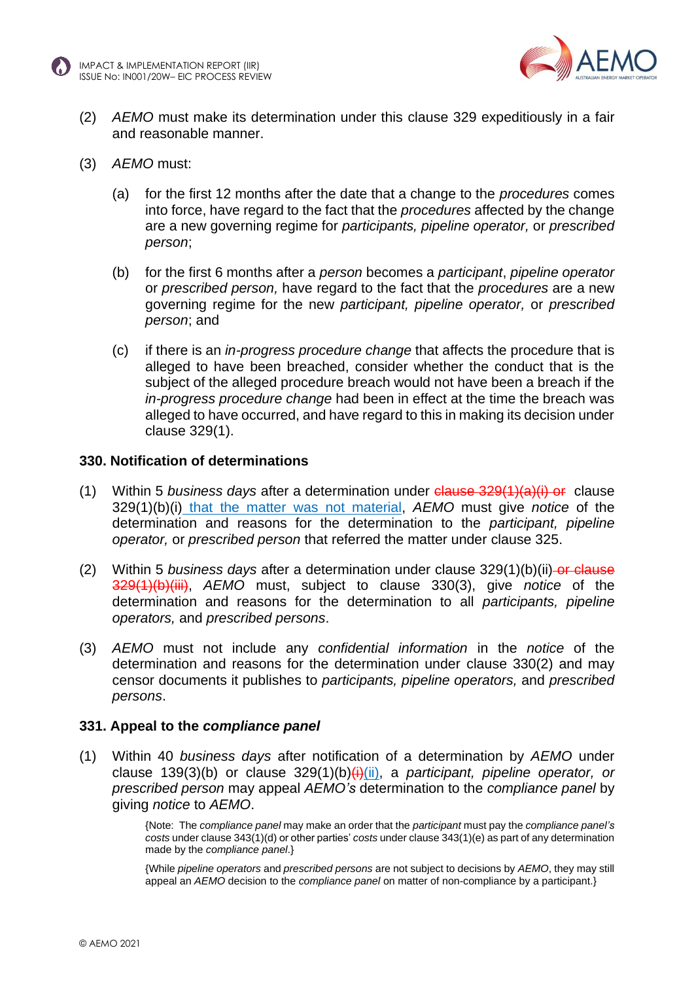



- (2) *AEMO* must make its determination under this clause 329 expeditiously in a fair and reasonable manner.
- (3) *AEMO* must:
	- (a) for the first 12 months after the date that a change to the *procedures* comes into force, have regard to the fact that the *procedures* affected by the change are a new governing regime for *participants, pipeline operator,* or *prescribed person*;
	- (b) for the first 6 months after a *person* becomes a *participant*, *pipeline operator* or *prescribed person,* have regard to the fact that the *procedures* are a new governing regime for the new *participant, pipeline operator,* or *prescribed person*; and
	- (c) if there is an *in-progress procedure change* that affects the procedure that is alleged to have been breached, consider whether the conduct that is the subject of the alleged procedure breach would not have been a breach if the *in-progress procedure change* had been in effect at the time the breach was alleged to have occurred, and have regard to this in making its decision under clause 329(1).

#### **330. Notification of determinations**

- (1) Within 5 *business days* after a determination under clause 329(1)(a)(i) or clause 329(1)(b)(i) that the matter was not material, *AEMO* must give *notice* of the determination and reasons for the determination to the *participant, pipeline operator,* or *prescribed person* that referred the matter under clause [325.](#page-8-0)
- (2) Within 5 *business days after a determination under clause 329(1)(b)(ii)-or clause* 329(1)(b)(iii), *AEMO* must, subject to clause 330(3), give *notice* of the determination and reasons for the determination to all *participants, pipeline operators,* and *prescribed persons*.
- (3) *AEMO* must not include any *confidential information* in the *notice* of the determination and reasons for the determination under clause 330(2) and may censor documents it publishes to *participants, pipeline operators,* and *prescribed persons*.

#### **331. Appeal to the** *compliance panel*

(1) Within 40 *business days* after notification of a determination by *AEMO* under clause 139(3)(b) or clause 329(1)(b)(i)(ii), a *participant, pipeline operator, or prescribed person* may appeal *AEMO's* determination to the *compliance panel* by giving *notice* to *AEMO*.

> {Note: The *compliance panel* may make an order that the *participant* must pay the *compliance panel's costs* under clause 343(1)(d) or other parties' *costs* under clause 343(1)(e) as part of any determination made by the *compliance panel*.}

> {While *pipeline operators* and *prescribed persons* are not subject to decisions by *AEMO*, they may still appeal an *AEMO* decision to the *compliance panel* on matter of non-compliance by a participant.}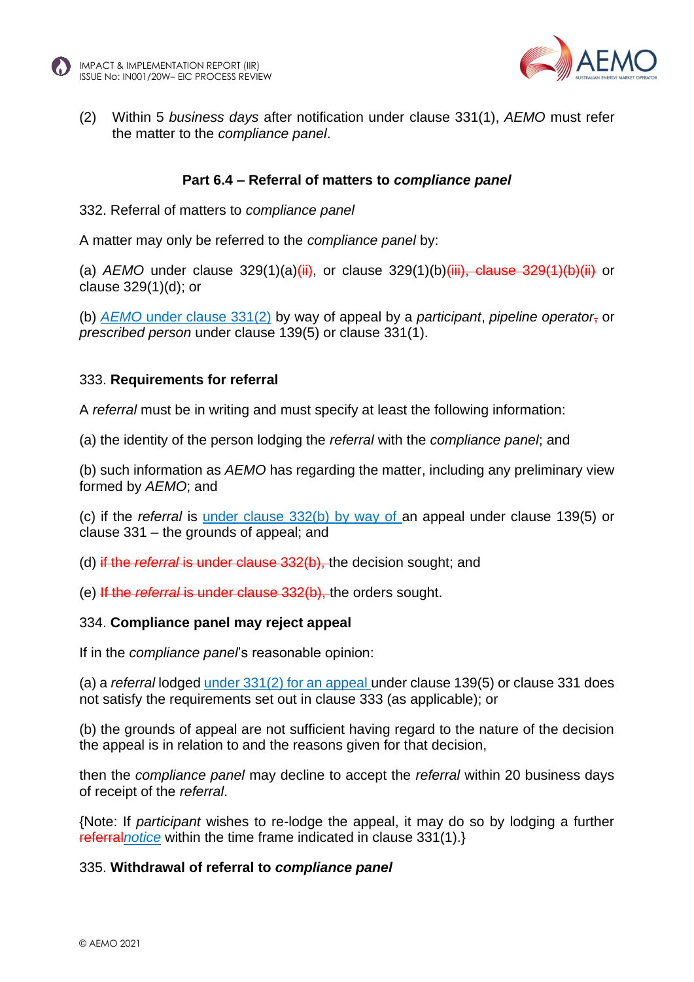



(2) Within 5 *business days* after notification under clause 331(1), *AEMO* must refer the matter to the *compliance panel*.

#### **Part 6.4 – Referral of matters to** *compliance panel*

332. Referral of matters to *compliance panel*

A matter may only be referred to the *compliance panel* by:

(a) *AEMO* under clause 329(1)(a)(ii), or clause 329(1)(b)(iii), clause 329(1)(b)(iii) or clause 329(1)(d); or

(b) *AEMO* under clause 331(2) by way of appeal by a *participant*, *pipeline operator*, or *prescribed person* under clause 139(5) or clause 331(1).

#### 333. **Requirements for referral**

A *referral* must be in writing and must specify at least the following information:

(a) the identity of the person lodging the *referral* with the *compliance panel*; and

(b) such information as *AEMO* has regarding the matter, including any preliminary view formed by *AEMO*; and

(c) if the *referral* is under clause 332(b) by way of an appeal under clause 139(5) or clause 331 – the grounds of appeal; and

- (d) if the *referral* is under clause 332(b), the decision sought; and
- (e) If the *referral* is under clause 332(b), the orders sought.

#### 334. **Compliance panel may reject appeal**

If in the *compliance panel*'s reasonable opinion:

(a) a *referral* lodged under 331(2) for an appeal under clause 139(5) or clause 331 does not satisfy the requirements set out in clause 333 (as applicable); or

(b) the grounds of appeal are not sufficient having regard to the nature of the decision the appeal is in relation to and the reasons given for that decision,

then the *compliance panel* may decline to accept the *referral* within 20 business days of receipt of the *referral*.

{Note: If *participant* wishes to re-lodge the appeal, it may do so by lodging a further referral*notice* within the time frame indicated in clause 331(1).}

#### 335. **Withdrawal of referral to** *compliance panel*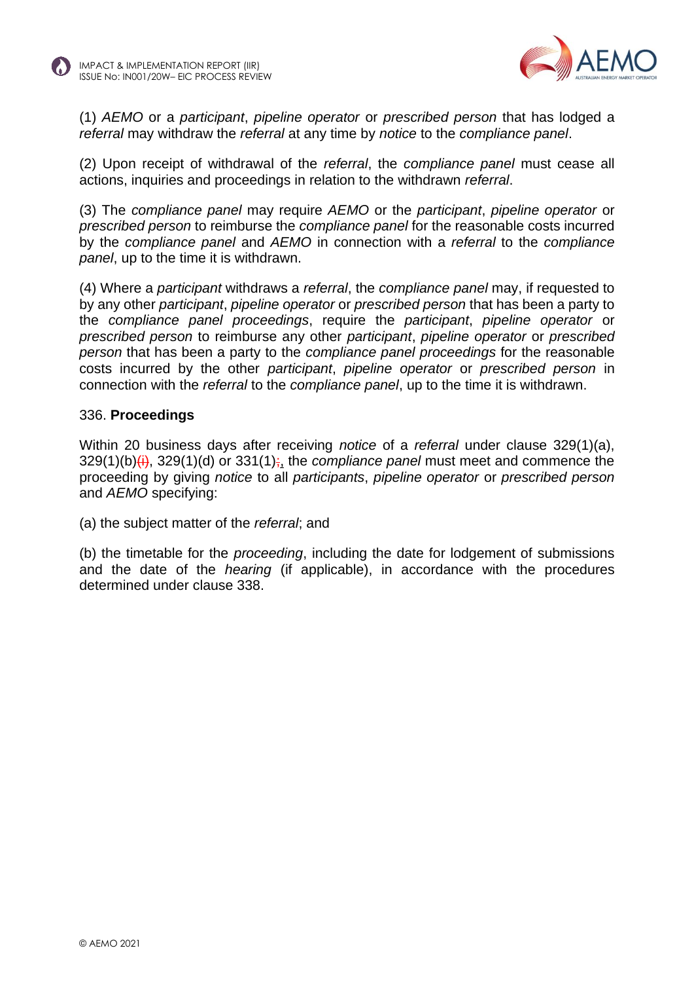



(1) *AEMO* or a *participant*, *pipeline operator* or *prescribed person* that has lodged a *referral* may withdraw the *referral* at any time by *notice* to the *compliance panel*.

(2) Upon receipt of withdrawal of the *referral*, the *compliance panel* must cease all actions, inquiries and proceedings in relation to the withdrawn *referral*.

(3) The *compliance panel* may require *AEMO* or the *participant*, *pipeline operator* or *prescribed person* to reimburse the *compliance panel* for the reasonable costs incurred by the *compliance panel* and *AEMO* in connection with a *referral* to the *compliance panel*, up to the time it is withdrawn.

(4) Where a *participant* withdraws a *referral*, the *compliance panel* may, if requested to by any other *participant*, *pipeline operator* or *prescribed person* that has been a party to the *compliance panel proceedings*, require the *participant*, *pipeline operator* or *prescribed person* to reimburse any other *participant*, *pipeline operator* or *prescribed person* that has been a party to the *compliance panel proceedings* for the reasonable costs incurred by the other *participant*, *pipeline operator* or *prescribed person* in connection with the *referral* to the *compliance panel*, up to the time it is withdrawn.

#### 336. **Proceedings**

Within 20 business days after receiving *notice* of a *referral* under clause 329(1)(a), 329(1)(b)(i), 329(1)(d) or 331(1); the *compliance panel* must meet and commence the proceeding by giving *notice* to all *participants*, *pipeline operator* or *prescribed person* and *AEMO* specifying:

(a) the subject matter of the *referral*; and

(b) the timetable for the *proceeding*, including the date for lodgement of submissions and the date of the *hearing* (if applicable), in accordance with the procedures determined under clause 338.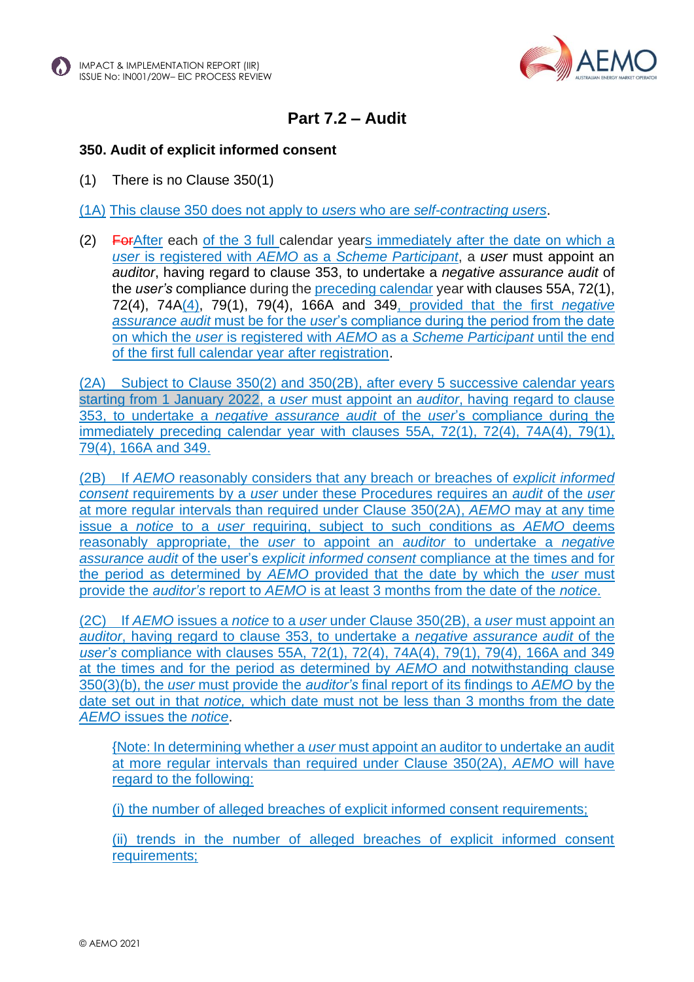



### **Part 7.2 – Audit**

### **350. Audit of explicit informed consent**

(1) There is no Clause 350(1)

(1A) This clause 350 does not apply to *users* who are *self-contracting users*.

(2) ForAfter each of the 3 full calendar years immediately after the date on which a *user* is registered with *AEMO* as a *Scheme Participant*, a *user* must appoint an *auditor*, having regard to clause 353, to undertake a *negative assurance audit* of the *user's* compliance during the preceding calendar year with clauses 55A, 72(1), 72(4), 74A(4), 79(1), 79(4), 166A and 349, provided that the first *negative assurance audit* must be for the *user*'s compliance during the period from the date on which the *user* is registered with *AEMO* as a *Scheme Participant* until the end of the first full calendar year after registration.

(2A) Subject to Clause 350(2) and 350(2B), after every 5 successive calendar years starting from 1 January 2022, a *user* must appoint an *auditor*, having regard to clause 353, to undertake a *negative assurance audit* of the *user*'s compliance during the immediately preceding calendar year with clauses 55A, 72(1), 72(4), 74A(4), 79(1), 79(4), 166A and 349.

(2B) If *AEMO* reasonably considers that any breach or breaches of *explicit informed consent* requirements by a *user* under these Procedures requires an *audit* of the *user* at more regular intervals than required under Clause 350(2A), *AEMO* may at any time issue a *notice* to a *user* requiring, subject to such conditions as *AEMO* deems reasonably appropriate, the *user* to appoint an *auditor* to undertake a *negative assurance audit* of the user's *explicit informed consent* compliance at the times and for the period as determined by *AEMO* provided that the date by which the *user* must provide the *auditor's* report to *AEMO* is at least 3 months from the date of the *notice*.

(2C) If *AEMO* issues a *notice* to a *user* under Clause 350(2B), a *user* must appoint an *auditor*, having regard to clause 353, to undertake a *negative assurance audit* of the *user's* compliance with clauses 55A, 72(1), 72(4), 74A(4), 79(1), 79(4), 166A and 349 at the times and for the period as determined by *AEMO* and notwithstanding clause 350(3)(b), the *user* must provide the *auditor's* final report of its findings to *AEMO* by the date set out in that *notice,* which date must not be less than 3 months from the date *AEMO* issues the *notice*.

{Note: In determining whether a *user* must appoint an auditor to undertake an audit at more regular intervals than required under Clause 350(2A), *AEMO* will have regard to the following:

(i) the number of alleged breaches of explicit informed consent requirements;

(ii) trends in the number of alleged breaches of explicit informed consent requirements;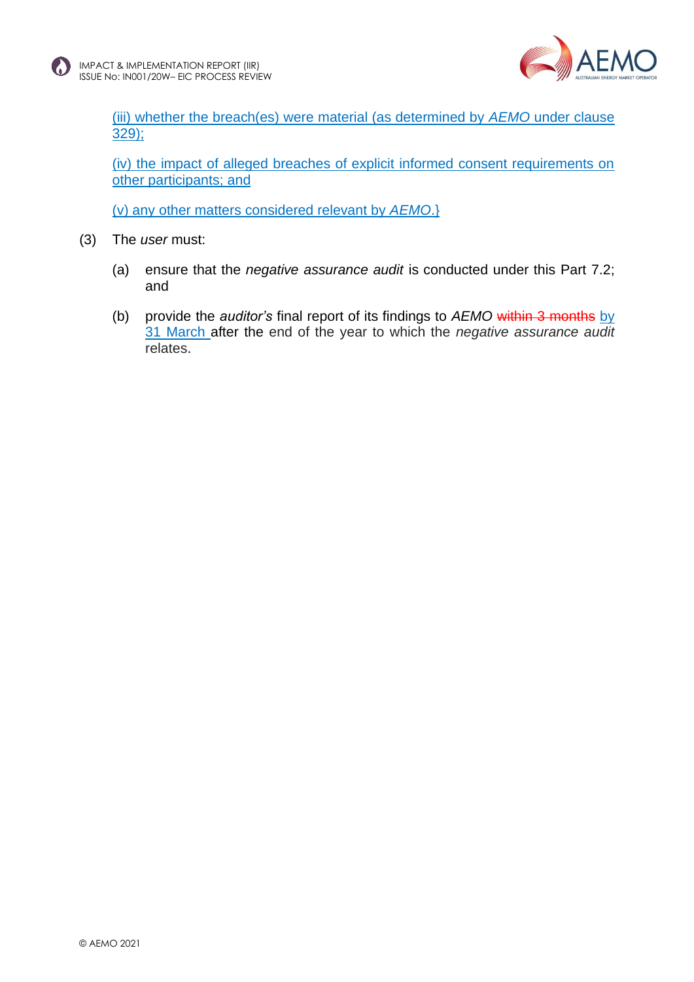

(iii) whether the breach(es) were material (as determined by *AEMO* under clause 329);

(iv) the impact of alleged breaches of explicit informed consent requirements on other participants; and

(v) any other matters considered relevant by *AEMO*.}

- (3) The *user* must:
	- (a) ensure that the *negative assurance audit* is conducted under this Part 7.2; and
	- (b) provide the *auditor's* final report of its findings to *AEMO* within 3 months by 31 March after the end of the year to which the *negative assurance audit* relates.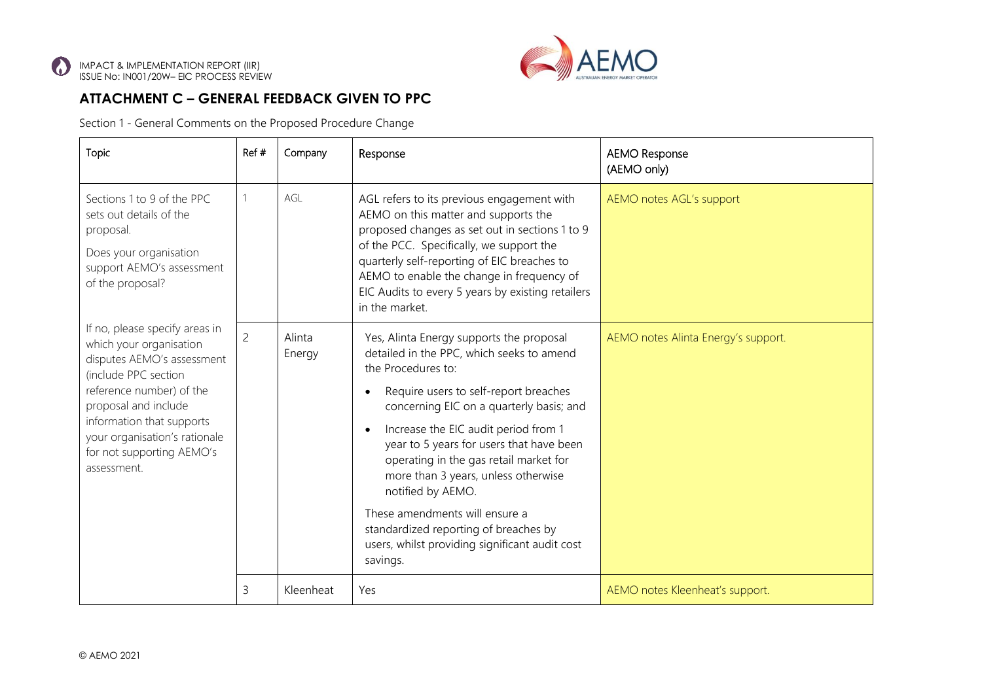

### **ATTACHMENT C – GENERAL FEEDBACK GIVEN TO PPC**

Section 1 - General Comments on the Proposed Procedure Change

| Topic                                                                                                                                                                                                                                                                         | Ref#           | Company          | Response                                                                                                                                                                                                                                                                                                                                                                                                                                                                                                                                                      | <b>AEMO Response</b><br>(AEMO only) |
|-------------------------------------------------------------------------------------------------------------------------------------------------------------------------------------------------------------------------------------------------------------------------------|----------------|------------------|---------------------------------------------------------------------------------------------------------------------------------------------------------------------------------------------------------------------------------------------------------------------------------------------------------------------------------------------------------------------------------------------------------------------------------------------------------------------------------------------------------------------------------------------------------------|-------------------------------------|
| Sections 1 to 9 of the PPC<br>sets out details of the<br>proposal.<br>Does your organisation<br>support AEMO's assessment<br>of the proposal?                                                                                                                                 |                | AGL              | AGL refers to its previous engagement with<br>AEMO on this matter and supports the<br>proposed changes as set out in sections 1 to 9<br>of the PCC. Specifically, we support the<br>quarterly self-reporting of EIC breaches to<br>AEMO to enable the change in frequency of<br>EIC Audits to every 5 years by existing retailers<br>in the market.                                                                                                                                                                                                           | AEMO notes AGL's support            |
| If no, please specify areas in<br>which your organisation<br>disputes AEMO's assessment<br>(include PPC section<br>reference number) of the<br>proposal and include<br>information that supports<br>your organisation's rationale<br>for not supporting AEMO's<br>assessment. | $\overline{2}$ | Alinta<br>Energy | Yes, Alinta Energy supports the proposal<br>detailed in the PPC, which seeks to amend<br>the Procedures to:<br>Require users to self-report breaches<br>$\bullet$<br>concerning EIC on a quarterly basis; and<br>Increase the EIC audit period from 1<br>$\bullet$<br>year to 5 years for users that have been<br>operating in the gas retail market for<br>more than 3 years, unless otherwise<br>notified by AEMO.<br>These amendments will ensure a<br>standardized reporting of breaches by<br>users, whilst providing significant audit cost<br>savings. | AEMO notes Alinta Energy's support. |
|                                                                                                                                                                                                                                                                               | 3              | Kleenheat        | Yes                                                                                                                                                                                                                                                                                                                                                                                                                                                                                                                                                           | AEMO notes Kleenheat's support.     |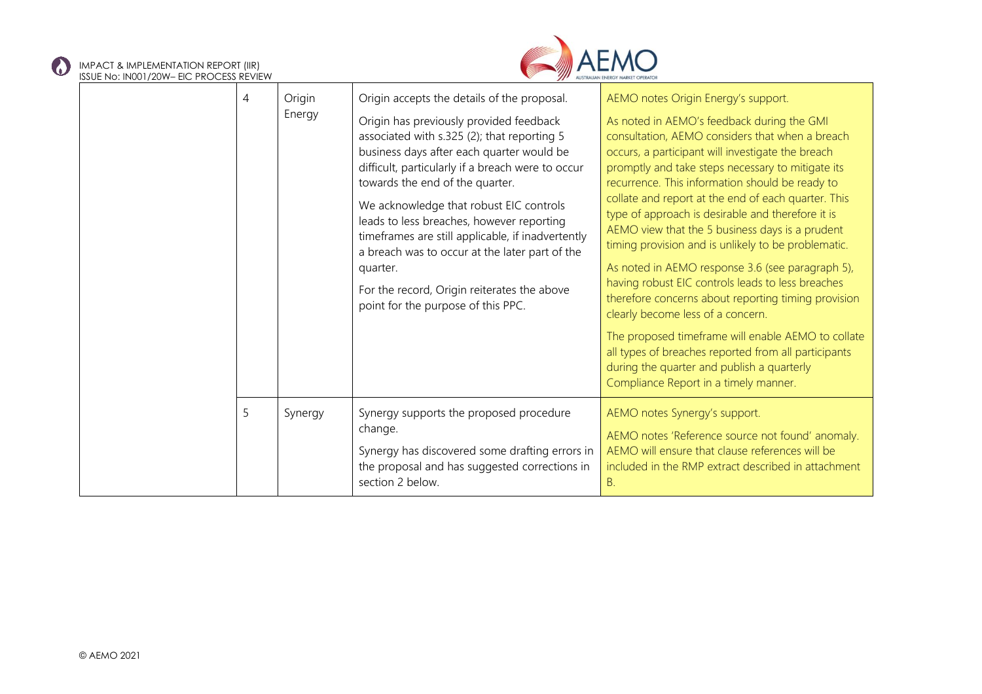#### IMPACT & IMPLEMENTATION REPORT (IIR) ISSUE No: IN001/20W– EIC PROCESS REVIEW

 $\bf{C}$ 



| 330L TVO, ITVOUT/ZOYYT LIG TINOGLISS NEVIEVY |   |                  |                                                                                                                                                                                                                                                                                                                                                                                                                                                                                                                                                                            |                                                                                                                                                                                                                                                                                                                                                                                                                                                                                                                                                                                                                                                                                                                                                                                                                                                                                                                                   |
|----------------------------------------------|---|------------------|----------------------------------------------------------------------------------------------------------------------------------------------------------------------------------------------------------------------------------------------------------------------------------------------------------------------------------------------------------------------------------------------------------------------------------------------------------------------------------------------------------------------------------------------------------------------------|-----------------------------------------------------------------------------------------------------------------------------------------------------------------------------------------------------------------------------------------------------------------------------------------------------------------------------------------------------------------------------------------------------------------------------------------------------------------------------------------------------------------------------------------------------------------------------------------------------------------------------------------------------------------------------------------------------------------------------------------------------------------------------------------------------------------------------------------------------------------------------------------------------------------------------------|
|                                              | 4 | Origin<br>Energy | Origin accepts the details of the proposal.<br>Origin has previously provided feedback<br>associated with s.325 (2); that reporting 5<br>business days after each quarter would be<br>difficult, particularly if a breach were to occur<br>towards the end of the quarter.<br>We acknowledge that robust EIC controls<br>leads to less breaches, however reporting<br>timeframes are still applicable, if inadvertently<br>a breach was to occur at the later part of the<br>quarter.<br>For the record, Origin reiterates the above<br>point for the purpose of this PPC. | AEMO notes Origin Energy's support.<br>As noted in AEMO's feedback during the GMI<br>consultation, AEMO considers that when a breach<br>occurs, a participant will investigate the breach<br>promptly and take steps necessary to mitigate its<br>recurrence. This information should be ready to<br>collate and report at the end of each quarter. This<br>type of approach is desirable and therefore it is<br>AEMO view that the 5 business days is a prudent<br>timing provision and is unlikely to be problematic.<br>As noted in AEMO response 3.6 (see paragraph 5),<br>having robust EIC controls leads to less breaches<br>therefore concerns about reporting timing provision<br>clearly become less of a concern.<br>The proposed timeframe will enable AEMO to collate<br>all types of breaches reported from all participants<br>during the quarter and publish a quarterly<br>Compliance Report in a timely manner. |
|                                              | 5 | Synergy          | Synergy supports the proposed procedure<br>change.<br>Synergy has discovered some drafting errors in<br>the proposal and has suggested corrections in<br>section 2 below.                                                                                                                                                                                                                                                                                                                                                                                                  | AEMO notes Synergy's support.<br>AEMO notes 'Reference source not found' anomaly.<br>AEMO will ensure that clause references will be<br>included in the RMP extract described in attachment<br>Β.                                                                                                                                                                                                                                                                                                                                                                                                                                                                                                                                                                                                                                                                                                                                 |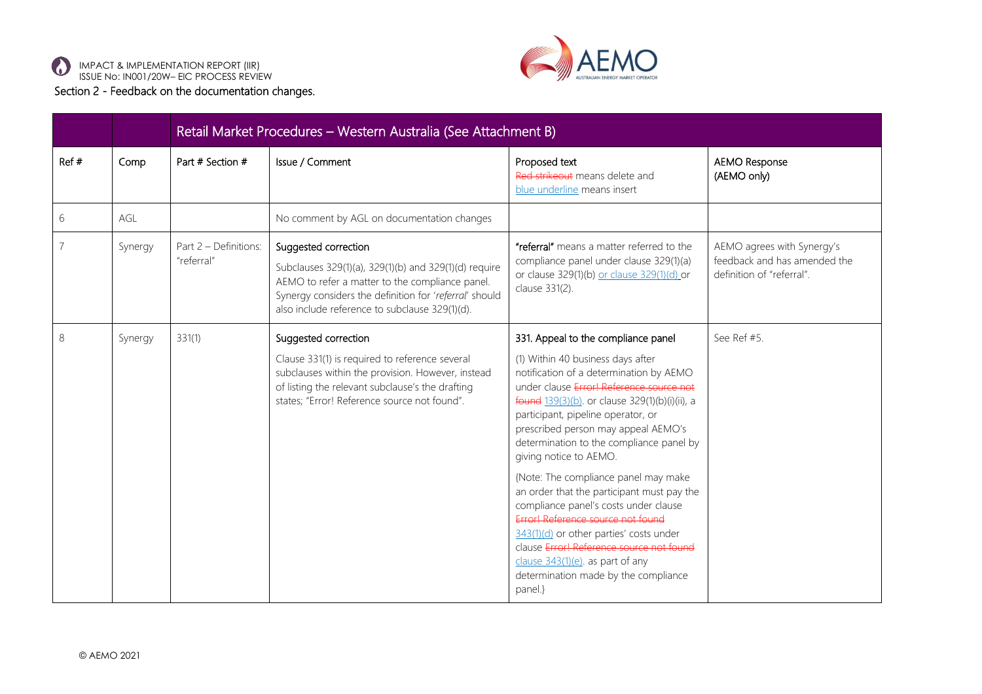



|      |         | Retail Market Procedures - Western Australia (See Attachment B) |                                                                                                                                                                                                                                              |                                                                                                                                                                                                                                                                                                                                                                                                                                                                                                                                                                                                                                                                                                                        |                                                                                         |  |  |  |
|------|---------|-----------------------------------------------------------------|----------------------------------------------------------------------------------------------------------------------------------------------------------------------------------------------------------------------------------------------|------------------------------------------------------------------------------------------------------------------------------------------------------------------------------------------------------------------------------------------------------------------------------------------------------------------------------------------------------------------------------------------------------------------------------------------------------------------------------------------------------------------------------------------------------------------------------------------------------------------------------------------------------------------------------------------------------------------------|-----------------------------------------------------------------------------------------|--|--|--|
| Ref# | Comp    | Part # Section #                                                | Issue / Comment                                                                                                                                                                                                                              | Proposed text<br>Red strikeout means delete and<br>blue underline means insert                                                                                                                                                                                                                                                                                                                                                                                                                                                                                                                                                                                                                                         | <b>AEMO Response</b><br>(AEMO only)                                                     |  |  |  |
| 6    | AGL     |                                                                 | No comment by AGL on documentation changes                                                                                                                                                                                                   |                                                                                                                                                                                                                                                                                                                                                                                                                                                                                                                                                                                                                                                                                                                        |                                                                                         |  |  |  |
|      | Synergy | Part 2 - Definitions:<br>"referral"                             | Suggested correction<br>Subclauses 329(1)(a), 329(1)(b) and 329(1)(d) require<br>AEMO to refer a matter to the compliance panel.<br>Synergy considers the definition for 'referral' should<br>also include reference to subclause 329(1)(d). | "referral" means a matter referred to the<br>compliance panel under clause 329(1)(a)<br>or clause 329(1)(b) or clause 329(1)(d) or<br>clause 331(2).                                                                                                                                                                                                                                                                                                                                                                                                                                                                                                                                                                   | AEMO agrees with Synergy's<br>feedback and has amended the<br>definition of "referral". |  |  |  |
| 8    | Synergy | 331(1)                                                          | Suggested correction<br>Clause 331(1) is required to reference several<br>subclauses within the provision. However, instead<br>of listing the relevant subclause's the drafting<br>states; "Error! Reference source not found".              | 331. Appeal to the compliance panel<br>(1) Within 40 business days after<br>notification of a determination by AEMO<br>under clause Error! Reference source not<br>found 139(3)(b). or clause 329(1)(b)(i)(ii), a<br>participant, pipeline operator, or<br>prescribed person may appeal AEMO's<br>determination to the compliance panel by<br>giving notice to AEMO.<br>{Note: The compliance panel may make<br>an order that the participant must pay the<br>compliance panel's costs under clause<br>Error! Reference source not found<br>343(1)(d) or other parties' costs under<br>clause Error! Reference source not found<br>clause 343(1)(e). as part of any<br>determination made by the compliance<br>panel.} | See Ref #5.                                                                             |  |  |  |